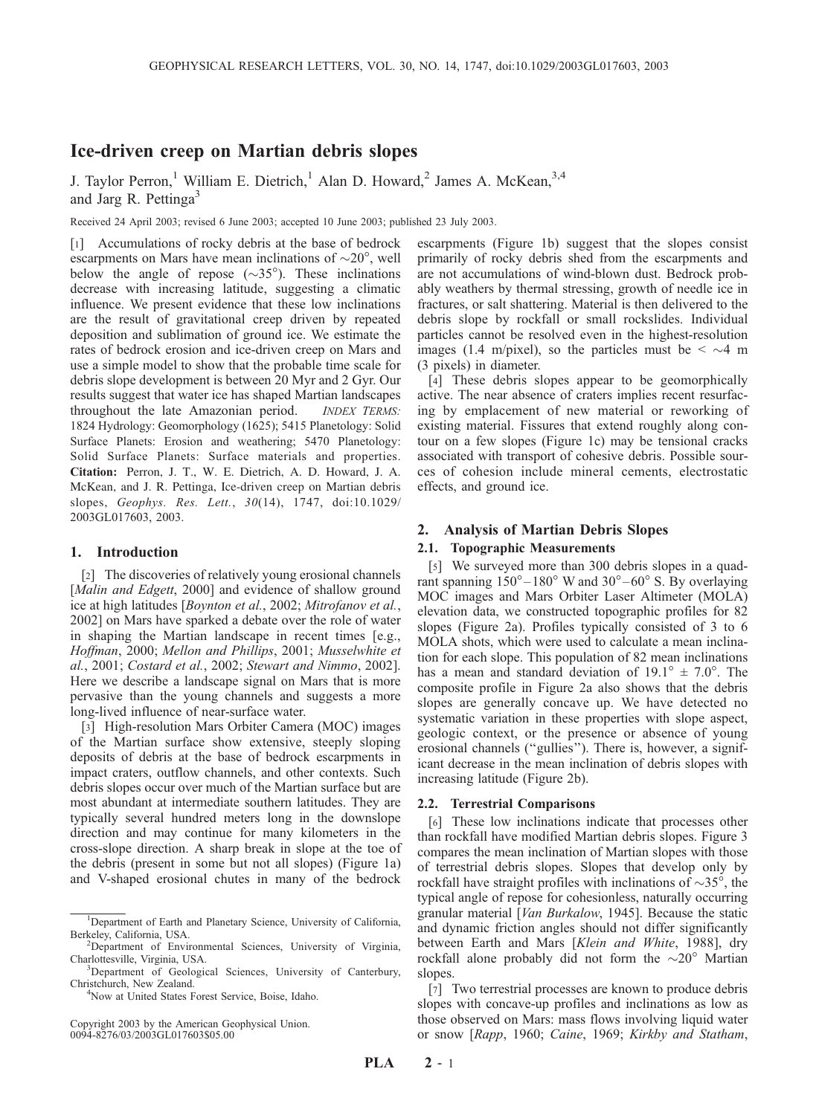# Ice-driven creep on Martian debris slopes

J. Taylor Perron,<sup>1</sup> William E. Dietrich,<sup>1</sup> Alan D. Howard,<sup>2</sup> James A. McKean,<sup>3,4</sup> and Jarg R. Pettinga<sup>3</sup>

Received 24 April 2003; revised 6 June 2003; accepted 10 June 2003; published 23 July 2003.

[1] Accumulations of rocky debris at the base of bedrock escarpments on Mars have mean inclinations of  $\sim 20^{\circ}$ , well below the angle of repose  $(\sim 35^{\circ})$ . These inclinations decrease with increasing latitude, suggesting a climatic influence. We present evidence that these low inclinations are the result of gravitational creep driven by repeated deposition and sublimation of ground ice. We estimate the rates of bedrock erosion and ice-driven creep on Mars and use a simple model to show that the probable time scale for debris slope development is between 20 Myr and 2 Gyr. Our results suggest that water ice has shaped Martian landscapes throughout the late Amazonian period. INDEX TERMS: 1824 Hydrology: Geomorphology (1625); 5415 Planetology: Solid Surface Planets: Erosion and weathering; 5470 Planetology: Solid Surface Planets: Surface materials and properties. Citation: Perron, J. T., W. E. Dietrich, A. D. Howard, J. A. McKean, and J. R. Pettinga, Ice-driven creep on Martian debris slopes, Geophys. Res. Lett., 30(14), 1747, doi:10.1029/ 2003GL017603, 2003.

### 1. Introduction

[2] The discoveries of relatively young erosional channels [*Malin and Edgett*, 2000] and evidence of shallow ground ice at high latitudes [Boynton et al., 2002; Mitrofanov et al., 2002] on Mars have sparked a debate over the role of water in shaping the Martian landscape in recent times [e.g., Hoffman, 2000; Mellon and Phillips, 2001; Musselwhite et al., 2001; Costard et al., 2002; Stewart and Nimmo, 2002]. Here we describe a landscape signal on Mars that is more pervasive than the young channels and suggests a more long-lived influence of near-surface water.

[3] High-resolution Mars Orbiter Camera (MOC) images of the Martian surface show extensive, steeply sloping deposits of debris at the base of bedrock escarpments in impact craters, outflow channels, and other contexts. Such debris slopes occur over much of the Martian surface but are most abundant at intermediate southern latitudes. They are typically several hundred meters long in the downslope direction and may continue for many kilometers in the cross-slope direction. A sharp break in slope at the toe of the debris (present in some but not all slopes) (Figure 1a) and V-shaped erosional chutes in many of the bedrock

Copyright 2003 by the American Geophysical Union. 0094-8276/03/2003GL017603\$05.00

escarpments (Figure 1b) suggest that the slopes consist primarily of rocky debris shed from the escarpments and are not accumulations of wind-blown dust. Bedrock probably weathers by thermal stressing, growth of needle ice in fractures, or salt shattering. Material is then delivered to the debris slope by rockfall or small rockslides. Individual particles cannot be resolved even in the highest-resolution images (1.4 m/pixel), so the particles must be  $\leq \sim$  4 m (3 pixels) in diameter.

[4] These debris slopes appear to be geomorphically active. The near absence of craters implies recent resurfacing by emplacement of new material or reworking of existing material. Fissures that extend roughly along contour on a few slopes (Figure 1c) may be tensional cracks associated with transport of cohesive debris. Possible sources of cohesion include mineral cements, electrostatic effects, and ground ice.

## 2. Analysis of Martian Debris Slopes

## 2.1. Topographic Measurements

[5] We surveyed more than 300 debris slopes in a quadrant spanning  $150^{\circ} - 180^{\circ}$  W and  $30^{\circ} - 60^{\circ}$  S. By overlaying MOC images and Mars Orbiter Laser Altimeter (MOLA) elevation data, we constructed topographic profiles for 82 slopes (Figure 2a). Profiles typically consisted of 3 to 6 MOLA shots, which were used to calculate a mean inclination for each slope. This population of 82 mean inclinations has a mean and standard deviation of  $19.1^{\circ} \pm 7.0^{\circ}$ . The composite profile in Figure 2a also shows that the debris slopes are generally concave up. We have detected no systematic variation in these properties with slope aspect, geologic context, or the presence or absence of young erosional channels (''gullies''). There is, however, a significant decrease in the mean inclination of debris slopes with increasing latitude (Figure 2b).

#### 2.2. Terrestrial Comparisons

[6] These low inclinations indicate that processes other than rockfall have modified Martian debris slopes. Figure 3 compares the mean inclination of Martian slopes with those of terrestrial debris slopes. Slopes that develop only by rockfall have straight profiles with inclinations of  $\sim$ 35°, the typical angle of repose for cohesionless, naturally occurring granular material [Van Burkalow, 1945]. Because the static and dynamic friction angles should not differ significantly between Earth and Mars [Klein and White, 1988], dry rockfall alone probably did not form the  $\sim 20^\circ$  Martian slopes.

[7] Two terrestrial processes are known to produce debris slopes with concave-up profiles and inclinations as low as those observed on Mars: mass flows involving liquid water or snow [Rapp, 1960; Caine, 1969; Kirkby and Statham,

<sup>&</sup>lt;sup>1</sup>Department of Earth and Planetary Science, University of California, Berkeley, California, USA. <sup>2</sup>

<sup>&</sup>lt;sup>2</sup>Department of Environmental Sciences, University of Virginia, Charlottesville, Virginia, USA. <sup>3</sup>

<sup>&</sup>lt;sup>3</sup>Department of Geological Sciences, University of Canterbury, Christchurch, New Zealand. <sup>4</sup>

<sup>&</sup>lt;sup>4</sup>Now at United States Forest Service, Boise, Idaho.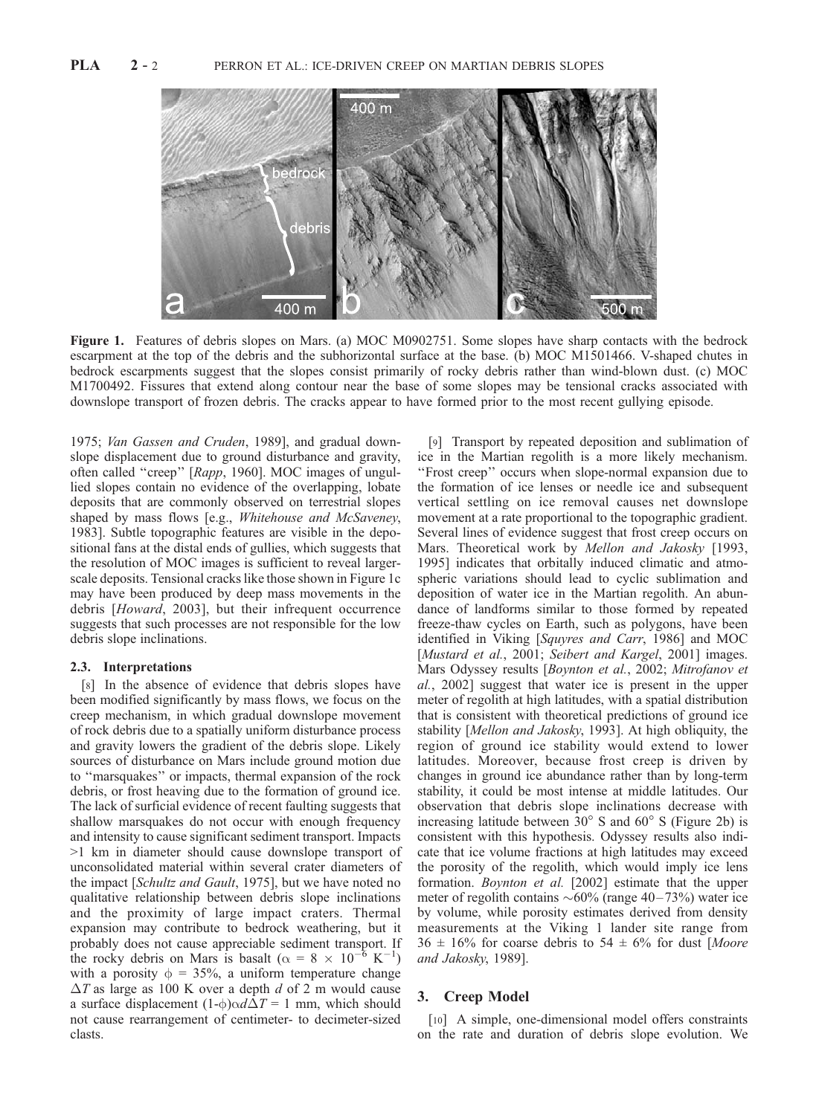

Figure 1. Features of debris slopes on Mars. (a) MOC M0902751. Some slopes have sharp contacts with the bedrock escarpment at the top of the debris and the subhorizontal surface at the base. (b) MOC M1501466. V-shaped chutes in bedrock escarpments suggest that the slopes consist primarily of rocky debris rather than wind-blown dust. (c) MOC M1700492. Fissures that extend along contour near the base of some slopes may be tensional cracks associated with downslope transport of frozen debris. The cracks appear to have formed prior to the most recent gullying episode.

1975; Van Gassen and Cruden, 1989], and gradual downslope displacement due to ground disturbance and gravity, often called "creep" [Rapp, 1960]. MOC images of ungullied slopes contain no evidence of the overlapping, lobate deposits that are commonly observed on terrestrial slopes shaped by mass flows [e.g., Whitehouse and McSaveney, 1983]. Subtle topographic features are visible in the depositional fans at the distal ends of gullies, which suggests that the resolution of MOC images is sufficient to reveal largerscale deposits. Tensional cracks like those shown in Figure 1c may have been produced by deep mass movements in the debris [Howard, 2003], but their infrequent occurrence suggests that such processes are not responsible for the low debris slope inclinations.

#### 2.3. Interpretations

[8] In the absence of evidence that debris slopes have been modified significantly by mass flows, we focus on the creep mechanism, in which gradual downslope movement of rock debris due to a spatially uniform disturbance process and gravity lowers the gradient of the debris slope. Likely sources of disturbance on Mars include ground motion due to ''marsquakes'' or impacts, thermal expansion of the rock debris, or frost heaving due to the formation of ground ice. The lack of surficial evidence of recent faulting suggests that shallow marsquakes do not occur with enough frequency and intensity to cause significant sediment transport. Impacts >1 km in diameter should cause downslope transport of unconsolidated material within several crater diameters of the impact [Schultz and Gault, 1975], but we have noted no qualitative relationship between debris slope inclinations and the proximity of large impact craters. Thermal expansion may contribute to bedrock weathering, but it probably does not cause appreciable sediment transport. If the rocky debris on Mars is basalt ( $\alpha = 8 \times 10^{-6} \text{ K}^{-1}$  $^{-1}$ with a porosity  $\phi = 35\%$ , a uniform temperature change  $\Delta T$  as large as 100 K over a depth d of 2 m would cause a surface displacement  $(1-\phi)\alpha d\Delta T = 1$  mm, which should not cause rearrangement of centimeter- to decimeter-sized clasts.

[9] Transport by repeated deposition and sublimation of ice in the Martian regolith is a more likely mechanism. ''Frost creep'' occurs when slope-normal expansion due to the formation of ice lenses or needle ice and subsequent vertical settling on ice removal causes net downslope movement at a rate proportional to the topographic gradient. Several lines of evidence suggest that frost creep occurs on Mars. Theoretical work by Mellon and Jakosky [1993, 1995] indicates that orbitally induced climatic and atmospheric variations should lead to cyclic sublimation and deposition of water ice in the Martian regolith. An abundance of landforms similar to those formed by repeated freeze-thaw cycles on Earth, such as polygons, have been identified in Viking [Squyres and Carr, 1986] and MOC [Mustard et al., 2001; Seibert and Kargel, 2001] images. Mars Odyssey results [Boynton et al., 2002; Mitrofanov et al., 2002] suggest that water ice is present in the upper meter of regolith at high latitudes, with a spatial distribution that is consistent with theoretical predictions of ground ice stability [Mellon and Jakosky, 1993]. At high obliquity, the region of ground ice stability would extend to lower latitudes. Moreover, because frost creep is driven by changes in ground ice abundance rather than by long-term stability, it could be most intense at middle latitudes. Our observation that debris slope inclinations decrease with increasing latitude between  $30^{\circ}$  S and  $60^{\circ}$  S (Figure 2b) is consistent with this hypothesis. Odyssey results also indicate that ice volume fractions at high latitudes may exceed the porosity of the regolith, which would imply ice lens formation. Boynton et al. [2002] estimate that the upper meter of regolith contains  $\sim 60\%$  (range 40–73%) water ice by volume, while porosity estimates derived from density measurements at the Viking 1 lander site range from  $36 \pm 16\%$  for coarse debris to  $54 \pm 6\%$  for dust [Moore and Jakosky, 1989].

## 3. Creep Model

[10] A simple, one-dimensional model offers constraints on the rate and duration of debris slope evolution. We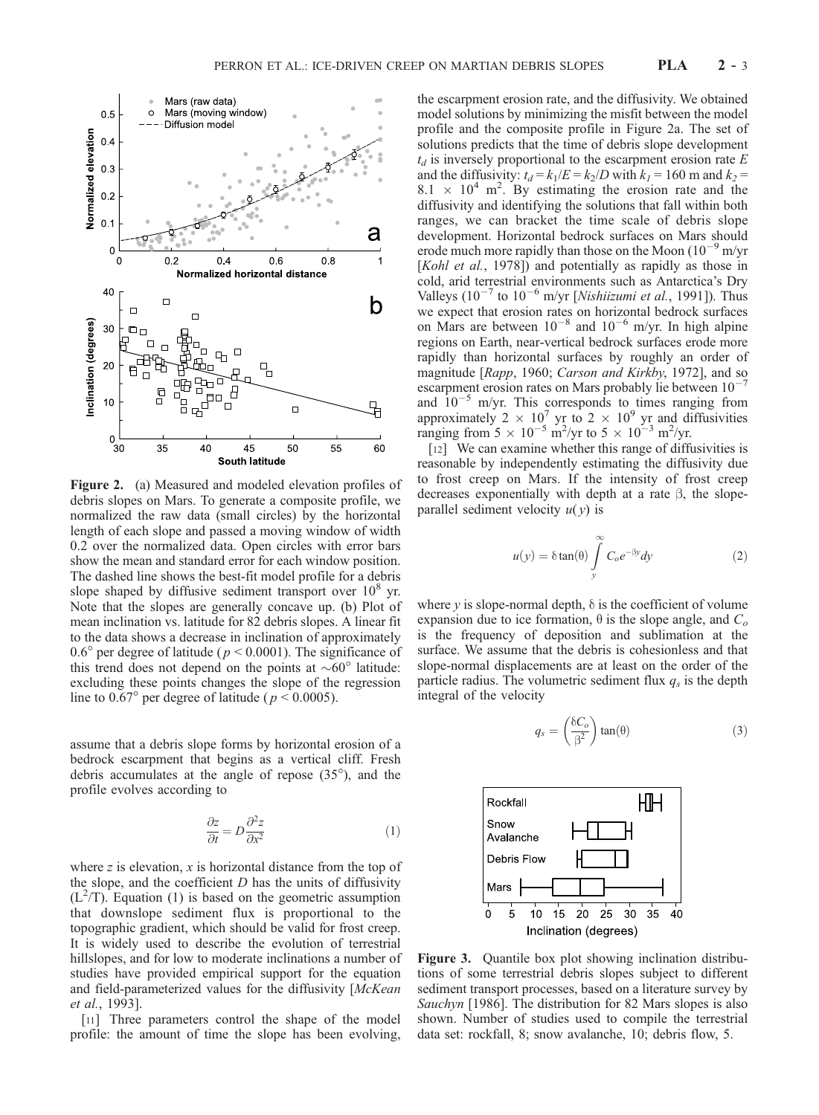

Figure 2. (a) Measured and modeled elevation profiles of debris slopes on Mars. To generate a composite profile, we normalized the raw data (small circles) by the horizontal length of each slope and passed a moving window of width 0.2 over the normalized data. Open circles with error bars show the mean and standard error for each window position. The dashed line shows the best-fit model profile for a debris slope shaped by diffusive sediment transport over  $10<sup>8</sup>$  yr. Note that the slopes are generally concave up. (b) Plot of mean inclination vs. latitude for 82 debris slopes. A linear fit to the data shows a decrease in inclination of approximately 0.6° per degree of latitude ( $p < 0.0001$ ). The significance of this trend does not depend on the points at  $\sim 60^\circ$  latitude: excluding these points changes the slope of the regression line to  $0.67^{\circ}$  per degree of latitude (  $p < 0.0005$ ).

assume that a debris slope forms by horizontal erosion of a bedrock escarpment that begins as a vertical cliff. Fresh debris accumulates at the angle of repose  $(35^{\circ})$ , and the profile evolves according to

$$
\frac{\partial z}{\partial t} = D \frac{\partial^2 z}{\partial x^2} \tag{1}
$$

where  $z$  is elevation,  $x$  is horizontal distance from the top of the slope, and the coefficient  $D$  has the units of diffusivity  $(L^2/T)$ . Equation (1) is based on the geometric assumption that downslope sediment flux is proportional to the topographic gradient, which should be valid for frost creep. It is widely used to describe the evolution of terrestrial hillslopes, and for low to moderate inclinations a number of studies have provided empirical support for the equation and field-parameterized values for the diffusivity [McKean et al., 1993].

[11] Three parameters control the shape of the model profile: the amount of time the slope has been evolving,

the escarpment erosion rate, and the diffusivity. We obtained model solutions by minimizing the misfit between the model profile and the composite profile in Figure 2a. The set of solutions predicts that the time of debris slope development  $t_d$  is inversely proportional to the escarpment erosion rate E and the diffusivity:  $t_d = k_1/E = k_2/D$  with  $k_1 = 160$  m and  $k_2 =$  $8.1 \times 10^4$  m<sup>2</sup>. By estimating the erosion rate and the diffusivity and identifying the solutions that fall within both ranges, we can bracket the time scale of debris slope development. Horizontal bedrock surfaces on Mars should erode much more rapidly than those on the Moon  $(10^{-9} \text{ m/yr})$ [Kohl et al., 1978]) and potentially as rapidly as those in cold, arid terrestrial environments such as Antarctica's Dry Valleys ( $10^{-7}$  to  $10^{-6}$  m/yr [*Nishiizumi et al.*, 1991]). Thus we expect that erosion rates on horizontal bedrock surfaces on Mars are between  $10^{-8}$  and  $10^{-6}$  m/yr. In high alpine regions on Earth, near-vertical bedrock surfaces erode more rapidly than horizontal surfaces by roughly an order of magnitude [Rapp, 1960; Carson and Kirkby, 1972], and so escarpment erosion rates on Mars probably lie between  $10$ and  $10^{-5}$  m/yr. This corresponds to times ranging from approximately 2  $\times$  10<sup>7</sup> yr to 2  $\times$  10<sup>9</sup> yr and diffusivities ranging from  $5 \times 10^{-5}$  m<sup>2</sup>/yr to  $5 \times 10^{-3}$  m<sup>2</sup>/yr.

[12] We can examine whether this range of diffusivities is reasonable by independently estimating the diffusivity due to frost creep on Mars. If the intensity of frost creep decreases exponentially with depth at a rate  $\beta$ , the slopeparallel sediment velocity  $u(y)$  is

$$
u(y) = \delta \tan(\theta) \int_{y}^{\infty} C_o e^{-\beta y} dy
$$
 (2)

where  $y$  is slope-normal depth,  $\delta$  is the coefficient of volume expansion due to ice formation,  $\theta$  is the slope angle, and  $C<sub>o</sub>$ is the frequency of deposition and sublimation at the surface. We assume that the debris is cohesionless and that slope-normal displacements are at least on the order of the particle radius. The volumetric sediment flux  $q_s$  is the depth integral of the velocity

$$
q_s = \left(\frac{\delta C_o}{\beta^2}\right) \tan(\theta) \tag{3}
$$



Figure 3. Quantile box plot showing inclination distributions of some terrestrial debris slopes subject to different sediment transport processes, based on a literature survey by Sauchyn [1986]. The distribution for 82 Mars slopes is also shown. Number of studies used to compile the terrestrial data set: rockfall, 8; snow avalanche, 10; debris flow, 5.